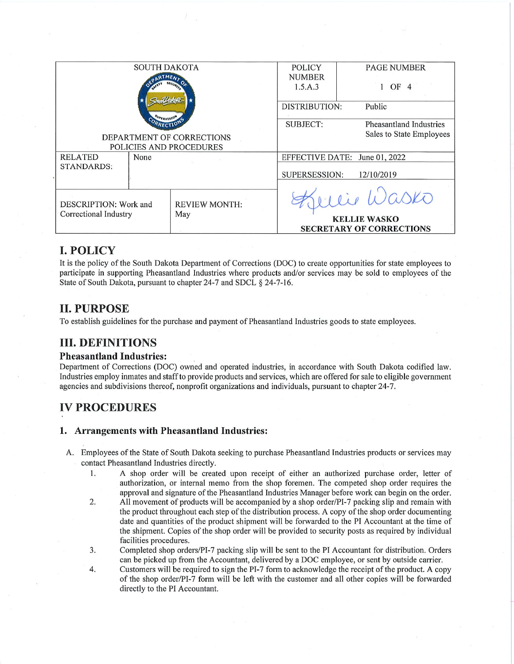|                                                                     |  |                             |                 | <b>KELLIE WASKO</b><br><b>SECRETARY OF CORRECTIONS</b> |                               |  |
|---------------------------------------------------------------------|--|-----------------------------|-----------------|--------------------------------------------------------|-------------------------------|--|
| <b>STANDARDS:</b><br>DESCRIPTION: Work and<br>Correctional Industry |  | <b>REVIEW MONTH:</b><br>May |                 |                                                        | lie Wasko                     |  |
|                                                                     |  |                             | SUPERSESSION:   | 12/10/2019                                             |                               |  |
| <b>RELATED</b><br>None                                              |  |                             |                 |                                                        | EFFECTIVE DATE: June 01, 2022 |  |
| DEPARTMENT OF CORRECTIONS<br>POLICIES AND PROCEDURES                |  |                             |                 | Sales to State Employees                               |                               |  |
|                                                                     |  |                             | <b>SUBJECT:</b> |                                                        | Pheasantland Industries       |  |
|                                                                     |  |                             |                 | Public<br>DISTRIBUTION:                                |                               |  |
|                                                                     |  |                             | 1.5.A.3         |                                                        | OF                            |  |
|                                                                     |  |                             | <b>NUMBER</b>   |                                                        |                               |  |
| <b>SOUTH DAKOTA</b>                                                 |  |                             | <b>POLICY</b>   |                                                        | <b>PAGE NUMBER</b>            |  |

### **I. POLICY**

It is the policy of the South Dakota Department of Corrections (DOC) to create opportunities for state employees to participate in supporting Pheasantland Industries where products and/or services may be sold to employees of the State of South Dakota, pursuant to chapter 24-7 and SDCL § 24-7-16.

### **II. PURPOSE**

To establish guidelines for the purchase and payment of Pheasantland Industries goods to state employees.

## **III. DEFINITIONS**

### **Pheasantland Industries:**

Department of Corrections (DOC) owned and operated industries, in accordance with South Dakota codified law. Industries employ inmates and staff to provide products and services, which are offered for sale to eligible government agencies and subdivisions thereof, nonprofit organizations and individuals, pursuant to chapter 24-7.

# **IV PROCEDURES**

### 1. Arrangements with Pheasantland Industries:

- A. Employees of the State of South Dakota seeking to purchase Pheasantland Industries products or services may contact Pheasantland Industries directly.
	- A shop order will be created upon receipt of either an authorized purchase order, letter of 1. authorization, or internal memo from the shop foremen. The competed shop order requires the approval and signature of the Pheasantland Industries Manager before work can begin on the order.
	- All movement of products will be accompanied by a shop order/PI-7 packing slip and remain with  $2.$ the product throughout each step of the distribution process. A copy of the shop order documenting date and quantities of the product shipment will be forwarded to the PI Accountant at the time of the shipment. Copies of the shop order will be provided to security posts as required by individual facilities procedures.
	- 3. Completed shop orders/PI-7 packing slip will be sent to the PI Accountant for distribution. Orders can be picked up from the Accountant, delivered by a DOC employee, or sent by outside carrier.
	- $\overline{4}$ . Customers will be required to sign the PI-7 form to acknowledge the receipt of the product. A copy of the shop order/PI-7 form will be left with the customer and all other copies will be forwarded directly to the PI Accountant.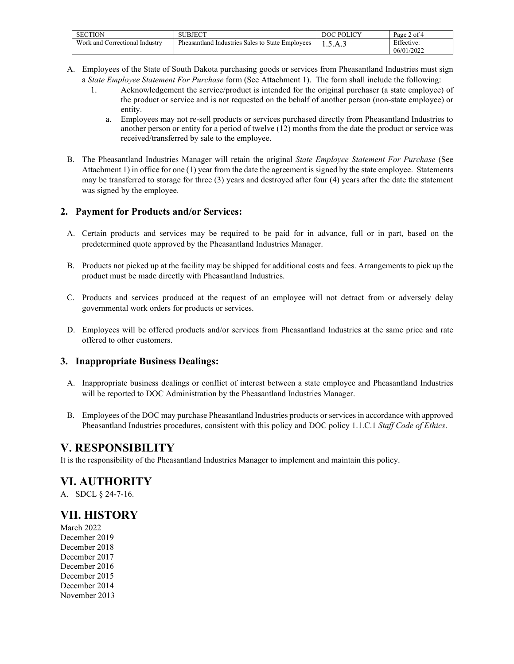| SUBJECT                                               | $\cup$ POLICV<br>ж | of 4<br>Page             |
|-------------------------------------------------------|--------------------|--------------------------|
| Pheasantland<br>I Industries Sales to State Employees | Δ<br>. . <i>.</i>  | Effective:<br>06/01/2022 |
|                                                       |                    |                          |

- A. Employees of the State of South Dakota purchasing goods or services from Pheasantland Industries must sign a *State Employee Statement For Purchase* form (See Attachment 1). The form shall include the following:
	- 1. Acknowledgement the service/product is intended for the original purchaser (a state employee) of the product or service and is not requested on the behalf of another person (non-state employee) or entity.
		- a. Employees may not re-sell products or services purchased directly from Pheasantland Industries to another person or entity for a period of twelve (12) months from the date the product or service was received/transferred by sale to the employee.
- B. The Pheasantland Industries Manager will retain the original *State Employee Statement For Purchase* (See Attachment 1) in office for one (1) year from the date the agreement is signed by the state employee. Statements may be transferred to storage for three (3) years and destroyed after four (4) years after the date the statement was signed by the employee.

### **2. Payment for Products and/or Services:**

- A. Certain products and services may be required to be paid for in advance, full or in part, based on the predetermined quote approved by the Pheasantland Industries Manager.
- B. Products not picked up at the facility may be shipped for additional costs and fees. Arrangements to pick up the product must be made directly with Pheasantland Industries.
- C. Products and services produced at the request of an employee will not detract from or adversely delay governmental work orders for products or services.
- D. Employees will be offered products and/or services from Pheasantland Industries at the same price and rate offered to other customers.

### **3. Inappropriate Business Dealings:**

- A. Inappropriate business dealings or conflict of interest between a state employee and Pheasantland Industries will be reported to DOC Administration by the Pheasantland Industries Manager.
- B. Employees of the DOC may purchase Pheasantland Industries products or services in accordance with approved Pheasantland Industries procedures, consistent with this policy and DOC policy 1.1.C.1 *Staff Code of Ethics*.

## **V. RESPONSIBILITY**

It is the responsibility of the Pheasantland Industries Manager to implement and maintain this policy.

# **VI. AUTHORITY**

A. SDCL § 24-7-16.

## **VII. HISTORY**

March 2022 December 2019 December 2018 December 2017 December 2016 December 2015 December 2014 November 2013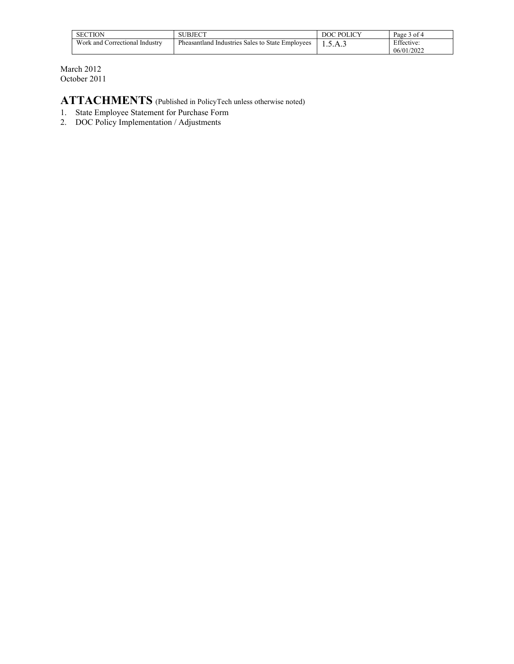| <b>SECTION</b>                 | SUBJECT                                          | <b>POLICY</b> | of 4<br>Page 5           |
|--------------------------------|--------------------------------------------------|---------------|--------------------------|
| Work and Correctional Industry | Pheasantland Industries Sales to State Employees | .S.A.3        | Effective:<br>06/01/2022 |

March 2012 October 2011

**ATTACHMENTS** (Published in PolicyTech unless otherwise noted)

- 1. State Employee Statement for Purchase Form
- 2. DOC Policy Implementation / Adjustments